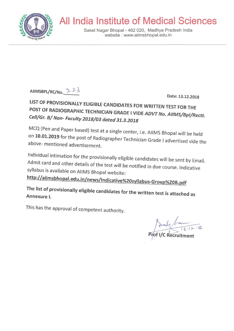

# **All India Institute of Medical Sciences**

Saket Nagar Bhopal - 462 020, Madhya Pradesh India website: www.aiimsbhopal.edu.in



Date: 13.12.2018

LIST OF PROVISIONALLY ELIGIBLE CANDIDATES FOR WRITTEN TEST FOR THE POST OF RADIOGRAPHIC TECHNICIAN GRADE I VIDE ADVT No. AIIMS/Bpl/Rectt. Cell/Gr. B/ Non- Faculty 2018/03 dated 31.3.2018

MCQ (Pen and Paper based) test at a single center, i.e. AIIMS Bhopal will be held on 10.01.2019 for the post of Radiographer Technician Grade I advertised vide the above- mentioned advertisement.

Individual intimation for the provisionally eligible candidates will be sent by Email. Admit card and other details of the test will be notified in due course. Indicative syllabus is available on AIIMS Bhopal website:

http://aiimsbhopal.edu.in/news/Indicative%20syllabus-Group%20B.pdf

The list of provisionally eligible candidates for the written test is attached as Annexure I.

This has the approval of competent authority.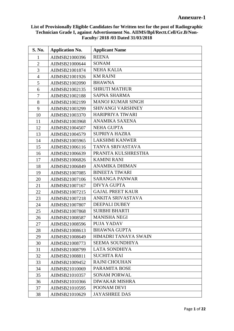| <b>S. No.</b>  | <b>Application No.</b> | <b>Applicant Name</b>    |
|----------------|------------------------|--------------------------|
| $\mathbf{1}$   | AIIMSB21000396         | <b>REENA</b>             |
| $\overline{2}$ | AIIMSB21000644         | <b>SONAM</b>             |
| 3              | AIIMSB21001874         | <b>NEHA KALIA</b>        |
| $\overline{4}$ | AIIMSB21001926         | <b>KM RAJNI</b>          |
| 5              | AIIMSB21002090         | <b>BHAWNA</b>            |
| 6              | AIIMSB21002135         | <b>SHRUTI MATHUR</b>     |
| 7              | AIIMSB21002188         | <b>SAPNA SHARMA</b>      |
| 8              | AIIMSB21002199         | <b>MANOJ KUMAR SINGH</b> |
| 9              | AIIMSB21003299         | SHIVANGI VARSHNEY        |
| 10             | AIIMSB21003370         | HARIPRIYA TIWARI         |
| 11             | AIIMSB21003968         | ANAMIKA SAXENA           |
| 12             | AIIMSB21004507         | <b>NEHA GUPTA</b>        |
| 13             | AIIMSB21004579         | <b>SUPRIYA HAZRA</b>     |
| 14             | AIIMSB21005965         | <b>LAKSHMI KANWER</b>    |
| 15             | AIIMSB21006116         | TANYA SRIVASTAVA         |
| 16             | AIIMSB21006639         | PRANITA KULSHRESTHA      |
| 17             | AIIMSB21006826         | <b>KAMINI RANI</b>       |
| 18             | AIIMSB21006849         | <b>ANAMIKA DHIMAN</b>    |
| 19             | AIIMSB21007085         | <b>BINEETA TIWARI</b>    |
| 20             | AIIMSB21007106         | <b>SARANGA PANWAR</b>    |
| 21             | AIIMSB21007167         | <b>DIVYA GUPTA</b>       |
| 22             | AIIMSB21007215         | <b>GAJAL PREET KAUR</b>  |
| 23             | AIIMSB21007218         | ANKITA SRIVASTAVA        |
| 24             | AIIMSB21007807         | <b>DEEPALI DUBEY</b>     |
| 25             | AIIMSB21007868         | <b>SURBHI BHARTI</b>     |
| 26             | AIIMSB21008587         | <b>MANISHA NEGI</b>      |
| 27             | AIIMSB21008596         | PUJA YADAV               |
| 28             | AIIMSB21008613         | <b>BHAWNA GUPTA</b>      |
| 29             | AIIMSB21008649         | HIMADRI TANAYA SWAIN     |
| 30             | AIIMSB21008773         | SEEMA SOUNDHIYA          |
| 31             | AIIMSB21008799         | <b>LATA SONDHIYA</b>     |
| 32             | AIIMSB21008811         | <b>SUCHITA RAI</b>       |
| 33             | AIIMSB21009452         | <b>RAJNI CHOUHAN</b>     |
| 34             | AIIMSB21010069         | PARAMITA BOSE            |
| 35             | AIIMSB21010357         | <b>SONAM PORWAL</b>      |
| 36             | AIIMSB21010366         | <b>DIWAKAR MISHRA</b>    |
| 37             | AIIMSB21010595         | POONAM DEVI              |
| 38             | AIIMSB21010629         | <b>JAYASHREE DAS</b>     |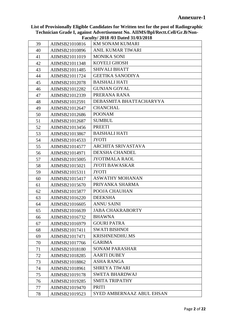|    |                | $\Gamma$ acuny/2010/03 Dated 31/03/2010 |
|----|----------------|-----------------------------------------|
| 39 | AIIMSB21010816 | <b>KM SONAM KUMARI</b>                  |
| 40 | AIIMSB21010896 | <b>ANIL KUMAR TIWARI</b>                |
| 41 | AIIMSB21011019 | <b>MONIKA SONI</b>                      |
| 42 | AIIMSB21011348 | KOYELI GHOSH                            |
| 43 | AIIMSB21011485 | <b>SHIVALI BHATT</b>                    |
| 44 | AIIMSB21011724 | <b>GEETIKA SANODIYA</b>                 |
| 45 | AIIMSB21012078 | <b>BAISHALI HATI</b>                    |
| 46 | AIIMSB21012282 | <b>GUNJAN GOYAL</b>                     |
| 47 | AIIMSB21012339 | PRERANA RANA                            |
| 48 | AIIMSB21012591 | DEBASMITA BHATTACHARYYA                 |
| 49 | AIIMSB21012647 | <b>CHANCHAL</b>                         |
| 50 | AIIMSB21012686 | <b>POONAM</b>                           |
| 51 | AIIMSB21012687 | <b>SUMBUL</b>                           |
| 52 | AIIMSB21013456 | <b>PREETI</b>                           |
| 53 | AIIMSB21013867 | <b>BAISHALI HATI</b>                    |
| 54 | AIIMSB21014533 | <b>JYOTI</b>                            |
| 55 | AIIMSB21014577 | ARCHITA SRIVASTAVA                      |
| 56 | AIIMSB21014971 | <b>DEXSHA CHANDEL</b>                   |
| 57 | AIIMSB21015005 | <b>JYOTIMALA RAOL</b>                   |
| 58 | AIIMSB21015021 | <b>JYOTI BAWASKAR</b>                   |
| 59 | AIIMSB21015311 | <b>JYOTI</b>                            |
| 60 | AIIMSB21015417 | <b>ASWATHY MOHANAN</b>                  |
| 61 | AIIMSB21015670 | PRIYANKA SHARMA                         |
| 62 | AIIMSB21015877 | POOJA CHAUHAN                           |
| 63 | AIIMSB21016220 | <b>DEEKSHA</b>                          |
| 64 | AIIMSB21016605 | <b>ANNU SAINI</b>                       |
| 65 | AIIMSB21016639 | <b>JABA CHAKRABORTY</b>                 |
| 66 | AIIMSB21016732 | <b>BHAWNA</b>                           |
| 67 | AIIMSB21016979 | <b>GOURI PATRA</b>                      |
| 68 | AIIMSB21017411 | <b>SWATI BISHNOI</b>                    |
| 69 | AIIMSB21017471 | KRISHNENDHU.MS                          |
| 70 | AIIMSB21017766 | <b>GARIMA</b>                           |
| 71 | AIIMSB21018180 | <b>SONAM PARASHAR</b>                   |
| 72 | AIIMSB21018285 | <b>AARTI DUBEY</b>                      |
| 73 | AIIMSB21018862 | <b>ASHA RANGA</b>                       |
| 74 | AIIMSB21018961 | <b>SHREYA TIWARI</b>                    |
| 75 | AIIMSB21019178 | <b>SWETA BHARDWAJ</b>                   |
| 76 | AIIMSB21019285 | <b>SMITA TRIPATHY</b>                   |
| 77 | AIIMSB21019470 | PRITI                                   |
| 78 | AIIMSB21019523 | <b>SYED AMBERNAAZ ABUL EHSAN</b>        |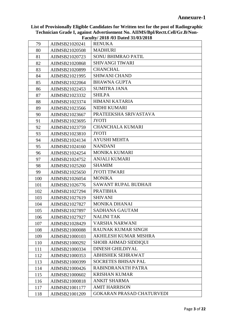| 79  | AIIMSB21020241 | <b>RENUKA</b>                    |
|-----|----------------|----------------------------------|
| 80  | AIIMSB21020508 | <b>MADHURI</b>                   |
| 81  | AIIMSB21020723 | <b>SONU BHIMRAO PATIL</b>        |
| 82  | AIIMSB21020868 | SHIVANGI TIWARI                  |
| 83  | AIIMSB21020899 | <b>CHANCHAL</b>                  |
| 84  | AIIMSB21021995 | <b>SHIWANI CHAND</b>             |
| 85  | AIIMSB21022064 | <b>BHAWNA GUPTA</b>              |
| 86  | AIIMSB21022453 | <b>SUMITRA JANA</b>              |
| 87  | AIIMSB21023332 | <b>SHILPA</b>                    |
| 88  | AIIMSB21023374 | <b>HIMANI KATARIA</b>            |
| 89  | AIIMSB21023566 | NIDHI KUMARI                     |
| 90  | AIIMSB21023667 | PRATEEKSHA SRIVASTAVA            |
| 91  | AIIMSB21023695 | <b>JYOTI</b>                     |
| 92  | AIIMSB21023759 | <b>CHANCHALA KUMARI</b>          |
| 93  | AIIMSB21023810 | <b>JYOTI</b>                     |
| 94  | AIIMSB21024134 | <b>AYUSHI MEHTA</b>              |
| 95  | AIIMSB21024160 | <b>NANDANI</b>                   |
| 96  | AIIMSB21024254 | MONIKA KUMARI                    |
| 97  | AIIMSB21024752 | <b>ANJALI KUMARI</b>             |
| 98  | AIIMSB21025260 | <b>SHAMIM</b>                    |
| 99  | AIIMSB21025650 | <b>JYOTI TIWARI</b>              |
| 100 | AIIMSB21026054 | <b>MONIKA</b>                    |
| 101 | AIIMSB21026776 | SAWANT RUPAL BUDHAJI             |
| 102 | AIIMSB21027294 | <b>PRATIBHA</b>                  |
| 103 | AIIMSB21027619 | <b>SHIVANI</b>                   |
| 104 | AIIMSB21027827 | MONIKA DHANAI                    |
| 105 | AIIMSB21027897 | <b>SADHANA GAUTAM</b>            |
| 106 | AIIMSB21027927 | <b>NALINI TAK</b>                |
| 107 | AIIMSB21028429 | VARSHA NARWANI                   |
| 108 | AIIMSB21000088 | RAUNAK KUMAR SINGH               |
| 109 | AIIMSB21000103 | AKHILESH KUMAR MISHRA            |
| 110 | AIIMSB21000292 | <b>SHOIB AHMAD SIDDIQUI</b>      |
| 111 | AIIMSB21000334 | <b>DINESH GHILDIYAL</b>          |
| 112 | AIIMSB21000353 | <b>ABHISHEK SEHRAWAT</b>         |
| 113 | AIIMSB21000399 | <b>SOCRETES BHISAN PAL</b>       |
| 114 | AIIMSB21000426 | RABINDRANATH PATRA               |
| 115 | AIIMSB21000602 | <b>KRISHAN KUMAR</b>             |
| 116 | AIIMSB21000818 | <b>ANKIT SHARMA</b>              |
| 117 | AIIMSB21001177 | <b>AMIT HARRISON</b>             |
| 118 | AIIMSB21001209 | <b>GOKARAN PRASAD CHATURVEDI</b> |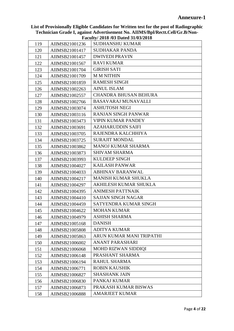|     |                | $\Gamma$ aculty/ 2010/03 Dated 31/03/2010 |
|-----|----------------|-------------------------------------------|
| 119 | AIIMSB21001236 | <b>SUDHANSHU KUMAR</b>                    |
| 120 | AIIMSB21001417 | <b>SUDHAKAR PANDA</b>                     |
| 121 | AIIMSB21001457 | <b>DWIVEDI PRAVIN</b>                     |
| 122 | AIIMSB21001567 | <b>RAVI KUMAR</b>                         |
| 123 | AIIMSB21001704 | <b>GIRISH SATI</b>                        |
| 124 | AIIMSB21001709 | <b>MMNITHIN</b>                           |
| 125 | AIIMSB21001859 | <b>RAMESH SINGH</b>                       |
| 126 | AIIMSB21002263 | <b>AINUL ISLAM</b>                        |
| 127 | AIIMSB21002557 | <b>CHANDRA BHUSAN BEHURA</b>              |
| 128 | AIIMSB21002766 | <b>BASAVARAJ MUNAVALLI</b>                |
| 129 | AIIMSB21003074 | <b>ASHUTOSH NEGI</b>                      |
| 130 | AIIMSB21003116 | <b>RANJAN SINGH PANWAR</b>                |
| 131 | AIIMSB21003473 | <b>VIPIN KUMAR PANDEY</b>                 |
| 132 | AIIMSB21003691 | <b>AZAHARUDDIN SAIFI</b>                  |
| 133 | AIIMSB21003705 | RAJENDRA KALCHHIYA                        |
| 134 | AIIMSB21003725 | <b>SURAJIT MONDAL</b>                     |
| 135 | AIIMSB21003862 | <b>MANOJ KUMAR SHARMA</b>                 |
| 136 | AIIMSB21003873 | <b>SHIVAM SHARMA</b>                      |
| 137 | AIIMSB21003993 | <b>KULDEEP SINGH</b>                      |
| 138 | AIIMSB21004027 | <b>KAILASH PANWAR</b>                     |
| 139 | AIIMSB21004033 | <b>ABHINAV BARANWAL</b>                   |
| 140 | AIIMSB21004217 | <b>MANISH KUMAR SHUKLA</b>                |
| 141 | AIIMSB21004297 | AKHILESH KUMAR SHUKLA                     |
| 142 | AIIMSB21004395 | <b>ANIMESH PATTNAIK</b>                   |
| 143 | AIIMSB21004410 | <b>SAJJAN SINGH NAGAR</b>                 |
| 144 | AIIMSB21004459 | SATYENDRA KUMAR SINGH                     |
| 145 | AIIMSB21004622 | <b>MOHAN KUMAR</b>                        |
| 146 | AIIMSB21004979 | <b>ASHISH SHARMA</b>                      |
| 147 | AIIMSB21005168 | <b>DANISH</b>                             |
| 148 | AIIMSB21005808 | <b>ADITYA KUMAR</b>                       |
| 149 | AIIMSB21005863 | ARUN KUMAR MANI TRIPATHI                  |
| 150 | AIIMSB21006002 | <b>ANANT PARASHARI</b>                    |
| 151 | AIIMSB21006068 | MOHD RIZWAN SIDDIQI                       |
| 152 | AIIMSB21006148 | PRASHANT SHARMA                           |
| 153 | AIIMSB21006194 | RAHUL SHARMA                              |
| 154 | AIIMSB21006771 | <b>ROBIN KAUSHIK</b>                      |
| 155 | AIIMSB21006827 | <b>SHASHANK JAIN</b>                      |
| 156 | AIIMSB21006830 | PANKAJ KUMAR                              |
| 157 | AIIMSB21006873 | PRAKASH KUMAR BISWAS                      |
| 158 | AIIMSB21006888 | <b>AMARJEET KUMAR</b>                     |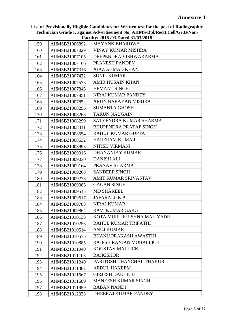|     |                | raculty/2018/03 Dated 31/03/2018 |
|-----|----------------|----------------------------------|
| 159 | AIIMSB21006892 | <b>MAYANK BHARDWAJ</b>           |
| 160 | AIIMSB21007029 | <b>VINAY KUMAR MISHRA</b>        |
| 161 | AIIMSB21007105 | DEEPENDRA VISHWAKARMA            |
| 162 | AIIMSB21007166 | PRANESH PANDEY                   |
| 163 | AIIMSB21007316 | <b>AJAZ AHMAD KHAN</b>           |
| 164 | AIIMSB21007432 | <b>SUNIL KUMAR</b>               |
| 165 | AIIMSB21007573 | <b>AMIR HUSAIN KHAN</b>          |
| 166 | AIIMSB21007845 | <b>HEMANT SINGH</b>              |
| 167 | AIIMSB21007851 | NIRAJ KUMAR PANDEY               |
| 168 | AIIMSB21007852 | ARUN NARAYAN MISHRA              |
| 169 | AIIMSB21008256 | <b>SUMANTA GHOSH</b>             |
| 170 | AIIMSB21008268 | <b>TARUN NAUGAIN</b>             |
| 171 | AIIMSB21008299 | SATYENDRA KUMAR SHARMA           |
| 172 | AIIMSB21008311 | <b>BHUPENDRA PRATAP SINGH</b>    |
| 173 | AIIMSB21008554 | RAHUL KUMAR GUPTA                |
| 174 | AIIMSB21008632 | <b>HARERAM KUMAR</b>             |
| 175 | AIIMSB21008993 | NITISH VIRMANI                   |
| 176 | AIIMSB21009016 | DHANANJAY KUMAR                  |
| 177 | AIIMSB21009030 | <b>DANISH ALI</b>                |
| 178 | AIIMSB21009164 | PRANAV SHARMA                    |
| 179 | AIIMSB21009268 | <b>SANDEEP SINGH</b>             |
| 180 | AIIMSB21009273 | AMIT KUMAR SRIVASTAV             |
| 181 | AIIMSB21009385 | <b>GAGAN SINGH</b>               |
| 182 | AIIMSB21009515 | <b>MD SHAKEEL</b>                |
| 183 | AIIMSB21009617 | JAFARALI. K.P                    |
| 184 | AIIMSB21009788 | <b>NIRAJ KUMAR</b>               |
| 185 | AIIMSB21009864 | <b>RAVI KUMAR GARG</b>           |
| 186 | AIIMSB21010138 | KOTA MURLIKRISHNA MALIYADRI      |
| 187 | AIIMSB21010255 | RAHUL KUMAR TRIPATHI             |
| 188 | AIIMSB21010514 | <b>ANUJ KUMAR</b>                |
| 189 | AIIMSB21010575 | <b>BHANU PRAKASH AWASTHI</b>     |
| 190 | AIIMSB21010885 | RAJESH RANJAN MOHALLICK          |
| 191 | AIIMSB21011040 | KOUSTAV MALLICK                  |
| 192 | AIIMSB21011103 | <b>RAJKISHOR</b>                 |
| 193 | AIIMSB21011240 | PARITOSH CHANCHAL THAKUR         |
| 194 | AIIMSB21011382 | <b>ABDUL HAKEEM</b>              |
| 195 | AIIMSB21011667 | <b>GIRJESH DADHICH</b>           |
| 196 | AIIMSB21011689 | <b>MANEESH KUMAR SINGH</b>       |
| 197 | AIIMSB21011959 | <b>BABAN NANDI</b>               |
| 198 | AIIMSB21012338 | DHEERAJ KUMAR PANDEY             |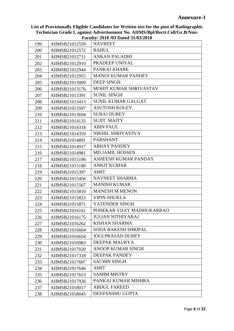|     |                | $1.4944$ , $1.4010$ , $1.001$ , $1.001$ , $1.001$ |
|-----|----------------|---------------------------------------------------|
| 199 | AIIMSB21012559 | <b>NAVREET</b>                                    |
| 200 | AIIMSB21012572 | <b>RAHUL</b>                                      |
| 201 | AIIMSB21012711 | <b>ANKAN PALADHI</b>                              |
| 202 | AIIMSB21012910 | PRADEEP UNIYAL                                    |
| 203 | AIIMSB21012944 | PANKAJ KHARE                                      |
| 204 | AIIMSB21012955 | <b>MANOJ KUMAR PANDEY</b>                         |
| 205 | AIIMSB21013009 | <b>DEEP SINGH</b>                                 |
| 206 | AIIMSB21013176 | MOHIT KUMAR SHRIVASTAV                            |
| 207 | AIIMSB21013391 | <b>SUNIL SINGH</b>                                |
| 208 | AIIMSB21013413 | <b>SUNIL KUMAR GALGAT</b>                         |
| 209 | AIIMSB21013597 | <b>ASUTOSH KOLEY</b>                              |
| 210 | AIIMSB21013694 | <b>SURAJ DUBEY</b>                                |
| 211 | AIIMSB21014135 | <b>SUJIT MAITY</b>                                |
| 212 | AIIMSB21014318 | <b>ABIN PAUL</b>                                  |
| 213 | AIIMSB21014359 | NIKHIL SHRIVASTVA                                 |
| 214 | AIIMSB21014891 | <b>PARSHANT</b>                                   |
| 215 | AIIMSB21014917 | <b>ABHAY PANDEY</b>                               |
| 216 | AIIMSB21014981 | <b>MD JAMIL HOSSEN</b>                            |
| 217 | AIIMSB21015106 | ASHEESH KUMAR PANDAY                              |
| 218 | AIIMSB21015180 | <b>ANKIT KUMAR</b>                                |
| 219 | AIIMSB21015397 | <b>AMIT</b>                                       |
| 220 | AIIMSB21015456 | NAVNEET SHARMA                                    |
| 221 | AIIMSB21015567 | <b>MANISH KUMAR</b>                               |
| 222 | AIIMSB21015810 | <b>MANESH M MENON</b>                             |
| 223 | AIIMSB21015823 | <b>VIPIN SHUKLA</b>                               |
| 224 | AIIMSB21015871 | YATENDER SINGH                                    |
| 225 | AIIMSB21016161 | POHEKAR VIJAY MADHUKARRAO                         |
| 226 | AIIMSB21016175 | <b>JULIAN NITHIYARAJ</b>                          |
| 227 | AIIMSB21016262 | <b>KISHAN SHARMA</b>                              |
| 228 | AIIMSB21016604 | <b>SODA RAKESH SHRIPAL</b>                        |
| 229 | AIIMSB21016654 | <b>JOGI PRASAD DUBEY</b>                          |
| 230 | AIIMSB21016983 | DEEPAK MAURYA                                     |
| 231 | AIIMSB21017020 | <b>ANOOP KUMAR SINGH</b>                          |
| 232 | AIIMSB21017318 | <b>DEEPAK PANDEY</b>                              |
| 233 | AIIMSB21017607 | <b>SACHIN SINGH</b>                               |
| 234 | AIIMSB21017646 | <b>AMIT</b>                                       |
| 235 | AIIMSB21017653 | <b>SAMIM MISTRY</b>                               |
| 236 | AIIMSB21017926 | PANKAJ KUMAR MISHRA                               |
| 237 | AIIMSB21018017 | <b>ABDUL FAREED</b>                               |
| 238 | AIIMSB21018045 | DEEPANSHU GUPTA                                   |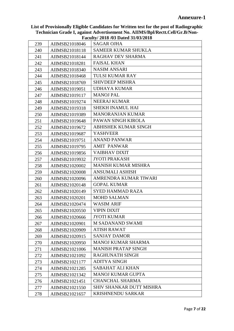| 239 | AIIMSB21018046 | <b>SAGAR OJHA</b>               |
|-----|----------------|---------------------------------|
| 240 | AIIMSB21018118 | <b>SAMEER KUMAR SHUKLA</b>      |
| 241 | AIIMSB21018144 | RAGHAV DEV SHARMA               |
| 242 | AIIMSB21018281 | <b>FAISAL KHAN</b>              |
| 243 | AIIMSB21018340 | <b>NASIM ANSARI</b>             |
| 244 | AIIMSB21018468 | <b>TULSI KUMAR RAY</b>          |
| 245 | AIIMSB21018769 | <b>SHIVDEEP MISHRA</b>          |
| 246 | AIIMSB21019051 | UDHAYA KUMAR                    |
| 247 | AIIMSB21019117 | <b>MANOJ PAL</b>                |
| 248 | AIIMSB21019274 | <b>NEERAJ KUMAR</b>             |
| 249 | AIIMSB21019318 | <b>SHEKH INAMUL HAI</b>         |
| 250 | AIIMSB21019389 | <b>MANORANJAN KUMAR</b>         |
| 251 | AIIMSB21019648 | PAWAN SINGH KIROLA              |
| 252 | AIIMSB21019672 | ABHISHEK KUMAR SINGH            |
| 253 | AIIMSB21019687 | <b>YASHVEER</b>                 |
| 254 | AIIMSB21019751 | <b>ANAND PANWAR</b>             |
| 255 | AIIMSB21019795 | <b>AMIT PANWAR</b>              |
| 256 | AIIMSB21019856 | <b>VAIBHAV DIXIT</b>            |
| 257 | AIIMSB21019932 | <b>JYOTI PRAKASH</b>            |
| 258 | AIIMSB21020002 | <b>MANISH KUMAR MISHRA</b>      |
| 259 | AIIMSB21020008 | <b>ANSUMALI ASHISH</b>          |
| 260 | AIIMSB21020096 | AMRENDRA KUMAR TIWARI           |
| 261 | AIIMSB21020148 | <b>GOPAL KUMAR</b>              |
| 262 | AIIMSB21020149 | <b>SYED HAMMAD RAZA</b>         |
| 263 | AIIMSB21020201 | <b>MOHD SALMAN</b>              |
| 264 | AIIMSB21020474 | <b>WASIM ARIF</b>               |
| 265 | AIIMSB21020550 | <b>VIPIN DIXIT</b>              |
| 266 | AIIMSB21020666 | <b>JYOTI KUMAR</b>              |
| 267 | AIIMSB21020901 | <b>M SADANAND SWAMI</b>         |
| 268 | AIIMSB21020909 | <b>ATISH RAWAT</b>              |
| 269 | AIIMSB21020915 | <b>SANJAY DAMOR</b>             |
| 270 | AIIMSB21020950 | <b>MANOJ KUMAR SHARMA</b>       |
| 271 | AIIMSB21021006 | <b>MANISH PRATAP SINGH</b>      |
| 272 | AIIMSB21021092 | <b>RAGHUNATH SINGH</b>          |
| 273 | AIIMSB21021177 | <b>ADITYA SINGH</b>             |
| 274 | AIIMSB21021285 | <b>SABAHAT ALI KHAN</b>         |
| 275 | AIIMSB21021342 | <b>MANOJ KUMAR GUPTA</b>        |
| 276 | AIIMSB21021451 | <b>CHANCHAL SHARMA</b>          |
| 277 | AIIMSB21021550 | <b>SHIV SHANKAR DUTT MISHRA</b> |
| 278 | AIIMSB21021657 | <b>KRISHNENDU SARKAR</b>        |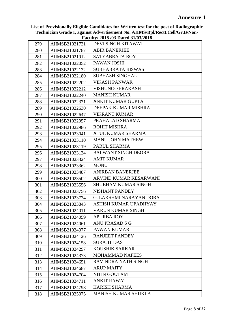|     |                | $\frac{1}{4}$ acuity 2010 (03 Dated 31/03/2010) |
|-----|----------------|-------------------------------------------------|
| 279 | AIIMSB21021731 | DEVI SINGH KITAWAT                              |
| 280 | AIIMSB21021787 | <b>ABIR BANERJEE</b>                            |
| 281 | AIIMSB21021912 | SATYABRATA ROY                                  |
| 282 | AIIMSB21022052 | PAWAN JOSHI                                     |
| 283 | AIIMSB21022132 | <b>SUBHABRATA BISWAS</b>                        |
| 284 | AIIMSB21022180 | <b>SUBHASH SINGHAL</b>                          |
| 285 | AIIMSB21022202 | <b>VIKASH PANWAR</b>                            |
| 286 | AIIMSB21022212 | <b>VISHUNOO PRAKASH</b>                         |
| 287 | AIIMSB21022240 | <b>MANISH KUMAR</b>                             |
| 288 | AIIMSB21022371 | ANKIT KUMAR GUPTA                               |
| 289 | AIIMSB21022630 | DEEPAK KUMAR MISHRA                             |
| 290 | AIIMSB21022647 | <b>VIKRANT KUMAR</b>                            |
| 291 | AIIMSB21022957 | PRAHALAD SHARMA                                 |
| 292 | AIIMSB21022986 | <b>ROHIT MISHRA</b>                             |
| 293 | AIIMSB21023041 | ATUL KUMAR SHARMA                               |
| 294 | AIIMSB21023110 | <b>MANU JOHN MATHEW</b>                         |
| 295 | AIIMSB21023119 | PARUL SHARMA                                    |
| 296 | AIIMSB21023134 | <b>BALWANT SINGH DEORA</b>                      |
| 297 | AIIMSB21023324 | <b>AMIT KUMAR</b>                               |
| 298 | AIIMSB21023362 | <b>MONU</b>                                     |
| 299 | AIIMSB21023487 | <b>ANIRBAN BANERJEE</b>                         |
| 300 | AIIMSB21023502 | ARVIND KUMAR KESARWANI                          |
| 301 | AIIMSB21023556 | <b>SHUBHAM KUMAR SINGH</b>                      |
| 302 | AIIMSB21023756 | NISHANT PANDEY                                  |
| 303 | AIIMSB21023774 | <b>G. LAKSHMI NARAYAN DORA</b>                  |
| 304 | AIIMSB21023843 | ASHISH KUMAR UPADHYAY                           |
| 305 | AIIMSB21024011 | <b>VARUN KUMAR SINGH</b>                        |
| 306 | AIIMSB21024059 | <b>APURBA ROY</b>                               |
| 307 | AIIMSB21024061 | <b>ANU PRASAD S G</b>                           |
| 308 | AIIMSB21024077 | PAWAN KUMAR                                     |
| 309 | AIIMSB21024126 | <b>RANJEET PANDEY</b>                           |
| 310 | AIIMSB21024158 | <b>SURAJIT DAS</b>                              |
| 311 | AIIMSB21024297 | <b>KOUSHIK SARKAR</b>                           |
| 312 | AIIMSB21024373 | <b>MOHAMMAD NAFEES</b>                          |
| 313 | AIIMSB21024651 | RAVINDRA NATH SINGH                             |
| 314 | AIIMSB21024687 | <b>ARUP MAITY</b>                               |
| 315 | AIIMSB21024704 | NITIN GOUTAM                                    |
| 316 | AIIMSB21024711 | <b>ANKIT RAWAT</b>                              |
| 317 | AIIMSB21024798 | <b>HARISH SHARMA</b>                            |
| 318 | AIIMSB21025075 | <b>MANISH KUMAR SHUKLA</b>                      |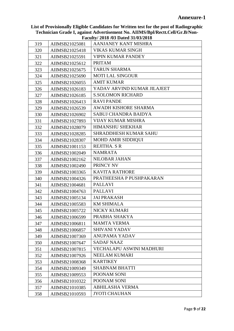|     |                | $\Gamma$ acuity/ 2010/03 Dated 31/03/2010 |
|-----|----------------|-------------------------------------------|
| 319 | AIIMSB21025081 | AANJANEY KANT MISHRA                      |
| 320 | AIIMSB21025418 | <b>VIKAS KUMAR SINGH</b>                  |
| 321 | AIIMSB21025591 | <b>VIPIN KUMAR PANDEY</b>                 |
| 322 | AIIMSB21025612 | <b>PRITAM</b>                             |
| 323 | AIIMSB21025675 | <b>TARUN SHARMA</b>                       |
| 324 | AIIMSB21025690 | <b>MOTI LAL SINGOUR</b>                   |
| 325 | AIIMSB21026055 | <b>AMIT KUMAR</b>                         |
| 326 | AIIMSB21026183 | YADAV ARVIND KUMAR JILAJEET               |
| 327 | AIIMSB21026185 | <b>S.SOLOMON RICHARD</b>                  |
| 328 | AIIMSB21026413 | <b>RAVI PANDE</b>                         |
| 329 | AIIMSB21026539 | <b>AWADH KISHORE SHARMA</b>               |
| 330 | AIIMSB21026902 | <b>SABUJ CHANDRA BAIDYA</b>               |
| 331 | AIIMSB21027893 | <b>VIJAY KUMAR MISHRA</b>                 |
| 332 | AIIMSB21028079 | <b>HIMANSHU SHEKHAR</b>                   |
| 333 | AIIMSB21028285 | <b>SHRADDHESH KUMAR SAHU</b>              |
| 334 | AIIMSB21028307 | <b>MOHD AMIR SIDDIQUI</b>                 |
| 335 | AIIMSB21001153 | REJITHA. S R                              |
| 336 | AIIMSB21002049 | <b>NAMRATA</b>                            |
| 337 | AIIMSB21002162 | NILOBAR JAHAN                             |
| 338 | AIIMSB21002490 | PRINCY NV                                 |
| 339 | AIIMSB21003365 | <b>KAVITA RATHORE</b>                     |
| 340 | AIIMSB21004326 | PRATHEESHA P PUSHPAKARAN                  |
| 341 | AIIMSB21004681 | <b>PALLAVI</b>                            |
| 342 | AIIMSB21004763 | <b>PALLAVI</b>                            |
| 343 | AIIMSB21005134 | <b>JAI PRAKASH</b>                        |
| 344 | AIIMSB21005583 | <b>KM SHIMALA</b>                         |
| 345 | AIIMSB21005722 | NICKY KUMARI                              |
| 346 | AIIMSB21006599 | PRABHA SHAKYA                             |
| 347 | AIIMSB21006811 | <b>MAMTA VERMA</b>                        |
| 348 | AIIMSB21006857 | <b>SHIVANI YADAV</b>                      |
| 349 | AIIMSB21007369 | <b>ANUPAMA YADAV</b>                      |
| 350 | AIIMSB21007647 | <b>SADAF NAAZ</b>                         |
| 351 | AIIMSB21007815 | <b>VECHALAPU ASWINI MADHURI</b>           |
| 352 | AIIMSB21007926 | NEELAM KUMARI                             |
| 353 | AIIMSB21008368 | <b>KARTIKEY</b>                           |
| 354 | AIIMSB21009349 | <b>SHABNAM BHATTI</b>                     |
| 355 | AIIMSB21009553 | POONAM SONI                               |
| 356 | AIIMSB21010322 | POONAM SONI                               |
| 357 | AIIMSB21010385 | <b>ABHILASHA VERMA</b>                    |
| 358 | AIIMSB21010593 | <b>JYOTI CHAUHAN</b>                      |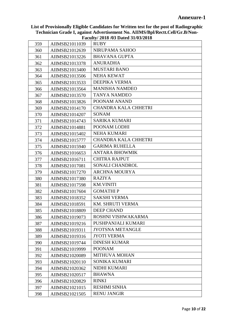|            | AIIMSB21011039 | $1.4444$ , $1.4010$ , $0.001$ $1.001$ , $0.01$<br><b>RUBY</b> |
|------------|----------------|---------------------------------------------------------------|
| 359<br>360 | AIIMSB21012639 | NIRUPAMA SAHOO                                                |
| 361        | AIIMSB21013226 | <b>BHAVANA GUPTA</b>                                          |
| 362        | AIIMSB21013378 | <b>ANURADHA</b>                                               |
| 363        | AIIMSB21013400 | <b>MUSTARI BANO</b>                                           |
| 364        | AIIMSB21013506 | NEHA KEWAT                                                    |
| 365        | AIIMSB21013533 | DEEPIKA VERMA                                                 |
| 366        | AIIMSB21013564 | <b>MANISHA NAMDEO</b>                                         |
| 367        | AIIMSB21013570 | <b>TANYA NAMDEO</b>                                           |
| 368        | AIIMSB21013826 | POONAM ANAND                                                  |
| 369        | AIIMSB21014170 | <b>CHANDRA KALA CHHETRI</b>                                   |
| 370        | AIIMSB21014207 | <b>SONAM</b>                                                  |
| 371        | AIIMSB21014743 | <b>SARIKA KUMARI</b>                                          |
| 372        | AIIMSB21014881 | POONAM LODHI                                                  |
| 373        | AIIMSB21015402 | <b>NEHA KUMARI</b>                                            |
| 374        | AIIMSB21015777 | <b>CHANDRA KALA CHHETRI</b>                                   |
| 375        | AIIMSB21015940 | <b>GARIMA RUHELLA</b>                                         |
| 376        | AIIMSB21016653 | <b>ANTARA BHOWMIK</b>                                         |
| 377        | AIIMSB21016711 | <b>CHITRA RAJPUT</b>                                          |
| 378        | AIIMSB21017081 | SONALI CHANDROL                                               |
| 379        | AIIMSB21017270 | <b>ARCHNA MOURYA</b>                                          |
| 380        | AIIMSB21017380 | <b>RAZIYA</b>                                                 |
| 381        | AIIMSB21017598 | <b>KM.VINITI</b>                                              |
| 382        | AIIMSB21017604 | <b>GOMATHIP</b>                                               |
| 383        | AIIMSB21018352 | <b>SAKSHI VERMA</b>                                           |
| 384        | AIIMSB21018591 | <b>KM. SHRUTI VERMA</b>                                       |
| 385        | AIIMSB21018809 | <b>DEEP CHAND</b>                                             |
| 386        | AIIMSB21019073 | ROSHNI VISHWAKARMA                                            |
| 387        | AIIMSB21019216 | PUSHPANJALI KUMARI                                            |
| 388        | AIIMSB21019311 | <b>JYOTSNA METANGLE</b>                                       |
| 389        | AIIMSB21019316 | <b>JYOTI VERMA</b>                                            |
| 390        | AIIMSB21019744 | <b>DINESH KUMAR</b>                                           |
| 391        | AIIMSB21019999 | <b>POONAM</b>                                                 |
| 392        | AIIMSB21020089 | <b>MITHUVA MOHAN</b>                                          |
| 393        | AIIMSB21020110 | SONIKA KUMARI                                                 |
| 394        | AIIMSB21020362 | NIDHI KUMARI                                                  |
| 395        | AIIMSB21020517 | <b>BHAWNA</b>                                                 |
| 396        | AIIMSB21020829 | <b>RINKI</b>                                                  |
| 397        | AIIMSB21021015 | <b>RESHMI SINHA</b>                                           |
| 398        | AIIMSB21021505 | <b>RENU JANGIR</b>                                            |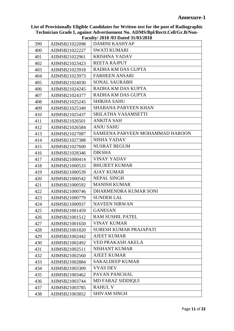|     |                | $\bf{r}$ aculty 2010 (03 Dated 31/03/2010) |
|-----|----------------|--------------------------------------------|
| 399 | AIIMSB21022098 | DAMINI KASHYAP                             |
| 400 | AIIMSB21022227 | <b>SWATI KUMARI</b>                        |
| 401 | AIIMSB21022961 | <b>KRISHNA YADAV</b>                       |
| 402 | AIIMSB21023423 | <b>REETA RAJPUT</b>                        |
| 403 | AIIMSB21023918 | RADHA KM DAS GUPTA                         |
| 404 | AIIMSB21023973 | <b>FARHEEN ANSARI</b>                      |
| 405 | AIIMSB21024030 | <b>SONAL SAURABH</b>                       |
| 406 | AIIMSB21024245 | RADHA KM DAS KUPTA                         |
| 407 | AIIMSB21024377 | RADHA KM DAS GUPTA                         |
| 408 | AIIMSB21025245 | <b>SHIKHA SAHU</b>                         |
| 409 | AIIMSB21025349 | <b>SHABANA PARVEEN KHAN</b>                |
| 410 | AIIMSB21025437 | SRILATHA VASAMSETTI                        |
| 411 | AIIMSB21026501 | <b>ANKITA SAH</b>                          |
| 412 | AIIMSB21026584 | <b>ANJU SAHU</b>                           |
| 413 | AIIMSB21027087 | SAMEENA PARVEEN MOHAMMAD HAROON            |
| 414 | AIIMSB21027388 | NISHA YADAV                                |
| 415 | AIIMSB21027600 | NUSRAT BEGUM                               |
| 416 | AIIMSB21028346 | <b>DIKSHA</b>                              |
| 417 | AIIMSB21000414 | <b>VINAY YADAV</b>                         |
| 418 | AIIMSB21000533 | <b>BHUJEET KUMAR</b>                       |
| 419 | AIIMSB21000539 | <b>AJAY KUMAR</b>                          |
| 420 | AIIMSB21000542 | <b>NEPAL SINGH</b>                         |
| 421 | AIIMSB21000592 | <b>MANISH KUMAR</b>                        |
| 422 | AIIMSB21000746 | DHARMENDRA KUMAR SONI                      |
| 423 | AIIMSB21000779 | <b>SUNDER LAL</b>                          |
| 424 | AIIMSB21000937 | <b>NAVEEN NIRWAN</b>                       |
| 425 | AIIMSB21001459 | <b>GANESAN</b>                             |
| 426 | AIIMSB21001512 | RAM SUSHIL PATEL                           |
| 427 | AIIMSB21001650 | <b>VINAY KUMAR</b>                         |
| 428 | AIIMSB21001820 | <b>SURESH KUMAR PRAJAPATI</b>              |
| 429 | AIIMSB21002442 | <b>AJEET KUMAR</b>                         |
| 430 | AIIMSB21002492 | VED PRAKASH AKELA                          |
| 431 | AIIMSB21002511 | <b>NISHANT KUMAR</b>                       |
| 432 | AIIMSB21002560 | <b>AJEET KUMAR</b>                         |
| 433 | AIIMSB21002884 | <b>SAKALDEEP KUMAR</b>                     |
| 434 | AIIMSB21003309 | <b>VYAS DEV</b>                            |
| 435 | AIIMSB21003462 | PAVAN PANCHAL                              |
| 436 | AIIMSB21003744 | <b>MD FARAZ SIDDIQUI</b>                   |
| 437 | AIIMSB21003785 | <b>RAHUL V</b>                             |
| 438 | AIIMSB21003852 | <b>SHIVAM SINGH</b>                        |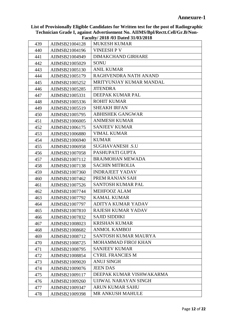| 439 | AIIMSB21004128 | <b>MUKESH KUMAR</b>        |
|-----|----------------|----------------------------|
| 440 | AIIMSB21004196 | <b>VINEESH P V</b>         |
| 441 | AIIMSB21004949 | <b>DIMAKCHAND GIRHARE</b>  |
| 442 | AIIMSB21005029 | <b>SONU</b>                |
| 443 | AIIMSB21005130 | <b>ANIL KUMAR</b>          |
| 444 | AIIMSB21005179 | RAGHVENDRA NATH ANAND      |
| 445 | AIIMSB21005252 | MRITYUNJAY KUMAR MANDAL    |
| 446 | AIIMSB21005285 | <b>JITENDRA</b>            |
| 447 | AIIMSB21005331 | DEEPAK KUMAR PAL           |
| 448 | AIIMSB21005336 | <b>ROHIT KUMAR</b>         |
| 449 | AIIMSB21005519 | <b>SHEAKH IRFAN</b>        |
| 450 | AIIMSB21005795 | <b>ABHISHEK GANGWAR</b>    |
| 451 | AIIMSB21006005 | <b>ANIMESH KUMAR</b>       |
| 452 | AIIMSB21006175 | <b>SANJEEV KUMAR</b>       |
| 453 | AIIMSB21006880 | <b>VIMAL KUMAR</b>         |
| 454 | AIIMSB21006940 | <b>KUMAR</b>               |
| 455 | AIIMSB21006958 | <b>SUGHAVANESH .S.U</b>    |
| 456 | AIIMSB21007058 | PASHUPATI GUPTA            |
| 457 | AIIMSB21007112 | <b>BRAJMOHAN MEWADA</b>    |
| 458 | AIIMSB21007138 | <b>SACHIN MITROLIA</b>     |
| 459 | AIIMSB21007360 | <b>INDRAJEET YADAV</b>     |
| 460 | AIIMSB21007462 | PREM RANJAN SAH            |
| 461 | AIIMSB21007526 | <b>SANTOSH KUMAR PAL</b>   |
| 462 | AIIMSB21007744 | MEHFOOZ ALAM               |
| 463 | AIIMSB21007792 | <b>KAMAL KUMAR</b>         |
| 464 | AIIMSB21007797 | <b>ADITYA KUMAR YADAV</b>  |
| 465 | AIIMSB21007810 | RAJESH KUMAR YADAV         |
| 466 | AIIMSB21007832 | <b>SAJID SIDDIKI</b>       |
| 467 | AIIMSB21008023 | <b>KRISHAN KUMAR</b>       |
| 468 | AIIMSB21008682 | <b>ANMOL KAMBOJ</b>        |
| 469 | AIIMSB21008712 | SANTOSH KUMAR MAURYA       |
| 470 | AIIMSB21008725 | <b>MOHAMMAD FIROJ KHAN</b> |
| 471 | AIIMSB21008795 | <b>SANJEEV KUMAR</b>       |
| 472 | AIIMSB21008854 | <b>CYRIL FRANCIES M</b>    |
| 473 | AIIMSB21009020 | <b>ANUJ SINGH</b>          |
| 474 | AIIMSB21009076 | <b>JEEN DAS</b>            |
| 475 | AIIMSB21009117 | DEEPAK KUMAR VISHWAKARMA   |
| 476 | AIIMSB21009260 | UJJWAL NARAYAN SINGH       |
| 477 | AIIMSB21009347 | <b>ARUN KUMAR SAHU</b>     |
| 478 | AIIMSB21009398 | MR ANKUSH MAHULE           |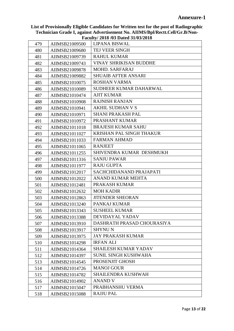| 479 | AIIMSB21009500 | <b>LIPANA BISWAL</b>          |
|-----|----------------|-------------------------------|
| 480 | AIIMSB21009680 | TEJ VEER SINGH                |
| 481 | AIIMSB21009739 | <b>RAHUL KUMAR</b>            |
| 482 | AIIMSB21009743 | <b>VINAY SHRIKISAN BUDDHE</b> |
| 483 | AIIMSB21009878 | <b>MOHD. SARFARAJ</b>         |
| 484 | AIIMSB21009882 | <b>SHUAIB AFTER ANSARI</b>    |
| 485 | AIIMSB21010075 | <b>ROSHAN VARMA</b>           |
| 486 | AIIMSB21010089 | SUDHEER KUMAR DAHARWAL        |
| 487 | AIIMSB21010474 | <b>AJIT KUMAR</b>             |
| 488 | AIIMSB21010908 | <b>RAJNISH RANJAN</b>         |
| 489 | AIIMSB21010941 | AKHIL SUDHAN V S              |
| 490 | AIIMSB21010971 | <b>SHANI PRAKASH PAL</b>      |
| 491 | AIIMSB21010972 | PRASHANT KUMAR                |
| 492 | AIIMSB21011018 | <b>BRAJESH KUMAR SAHU</b>     |
| 493 | AIIMSB21011027 | KRISHAN PAL SINGH THAKUR      |
| 494 | AIIMSB21011033 | <b>FARMAN AHMAD</b>           |
| 495 | AIIMSB21011065 | <b>RANJEET</b>                |
| 496 | AIIMSB21011255 | SHIVENDRA KUMAR DESHMUKH      |
| 497 | AIIMSB21011316 | <b>SANJU PAWAR</b>            |
| 498 | AIIMSB21011977 | <b>RAJU GUPTA</b>             |
| 499 | AIIMSB21012017 | SACHCHIDANAND PRAJAPATI       |
| 500 | AIIMSB21012022 | ANAND KUMAR MEHTA             |
| 501 | AIIMSB21012481 | PRAKASH KUMAR                 |
| 502 | AIIMSB21012632 | <b>MOH KADIR</b>              |
| 503 | AIIMSB21012863 | <b>JITENDER SHEORAN</b>       |
| 504 | AIIMSB21013240 | PANKAJ KUMAR                  |
| 505 | AIIMSB21013343 | <b>SUSHEEL KUMAR</b>          |
| 506 | AIIMSB21013388 | DEVIDAYAL YADAV               |
| 507 | AIIMSB21013910 | DASHRATH PRASAD CHOURASIYA    |
| 508 | AIIMSB21013917 | <b>SHYNUN</b>                 |
| 509 | AIIMSB21013975 | <b>JAY PRAKASH KUMAR</b>      |
| 510 | AIIMSB21014298 | <b>IRFAN ALI</b>              |
| 511 | AIIMSB21014364 | <b>SHAILESH KUMAR YADAV</b>   |
| 512 | AIIMSB21014397 | <b>SUNIL SINGH KUSHWAHA</b>   |
| 513 | AIIMSB21014545 | PROSENJIT GHOSH               |
| 514 | AIIMSB21014726 | <b>MANOJ GOUR</b>             |
| 515 | AIIMSB21014782 | <b>SHAILENDRA KUSHWAH</b>     |
| 516 | AIIMSB21014902 | <b>ANAND V</b>                |
| 517 | AIIMSB21015047 | PRABHANSHU VERMA              |
| 518 | AIIMSB21015088 | <b>RAJJU PAL</b>              |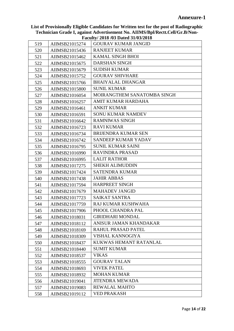|     |                | Paculty/2016/03 Dated 31/03/2016 |
|-----|----------------|----------------------------------|
| 519 | AIIMSB21015274 | <b>GOURAV KUMAR JANGID</b>       |
| 520 | AIIMSB21015436 | <b>RANJEET KUMAR</b>             |
| 521 | AIIMSB21015462 | <b>KAMAL SINGH BHOI</b>          |
| 522 | AIIMSB21015675 | <b>DARSHAN SINGH</b>             |
| 523 | AIIMSB21015679 | <b>SUDISH KUMAR</b>              |
| 524 | AIIMSB21015752 | <b>GOURAV SHIVHARE</b>           |
| 525 | AIIMSB21015766 | <b>BHAIYALAL DHANGAR</b>         |
| 526 | AIIMSB21015800 | <b>SUNIL KUMAR</b>               |
| 527 | AIIMSB21016054 | MOIRANGTHEM SANATOMBA SINGH      |
| 528 | AIIMSB21016257 | AMIT KUMAR HARDAHA               |
| 529 | AIIMSB21016461 | <b>ANKIT KUMAR</b>               |
| 530 | AIIMSB21016591 | <b>SONU KUMAR NAMDEV</b>         |
| 531 | AIIMSB21016642 | <b>RAMNIWAS SINGH</b>            |
| 532 | AIIMSB21016723 | <b>RAVI KUMAR</b>                |
| 533 | AIIMSB21016734 | <b>BRIJENDRA KUMAR SEN</b>       |
| 534 | AIIMSB21016742 | <b>SANDEEP KUMAR YADAV</b>       |
| 535 | AIIMSB21016795 | <b>SUNIL KUMAR SAINI</b>         |
| 536 | AIIMSB21016990 | <b>RAVINDRA PRASAD</b>           |
| 537 | AIIMSB21016995 | <b>LALIT RATHOR</b>              |
| 538 | AIIMSB21017275 | <b>SHEKH ALIMUDDIN</b>           |
| 539 | AIIMSB21017424 | <b>SATENDRA KUMAR</b>            |
| 540 | AIIMSB21017438 | <b>JAHIR ABBAS</b>               |
| 541 | AIIMSB21017594 | HARPREET SINGH                   |
| 542 | AIIMSB21017679 | <b>MAHADEV JANGID</b>            |
| 543 | AIIMSB21017723 | <b>SAIKAT SANTRA</b>             |
| 544 | AIIMSB21017759 | RAJ KUMAR KUSHWAHA               |
| 545 | AIIMSB21017906 | PHOOL CHANDRA PAL                |
| 546 | AIIMSB21018031 | <b>GIRIDHARI MONDAL</b>          |
| 547 | AIIMSB21018112 | ANISUR JAMAN KHANDAKAR           |
| 548 | AIIMSB21018169 | RAHUL PRASAD PATEL               |
| 549 | AIIMSB21018309 | VISHAL KANNOGIYA                 |
| 550 | AIIMSB21018437 | KUKWAS HEMANT RATANLAL           |
| 551 | AIIMSB21018440 | <b>SUMIT KUMAR</b>               |
| 552 | AIIMSB21018537 | <b>VIKAS</b>                     |
| 553 | AIIMSB21018555 | <b>GOURAV TALAN</b>              |
| 554 | AIIMSB21018693 | <b>VIVEK PATEL</b>               |
| 555 | AIIMSB21018932 | <b>MOHAN KUMAR</b>               |
| 556 | AIIMSB21019041 | <b>JITENDRA MEWADA</b>           |
| 557 | AIIMSB21019083 | <b>REWALAL MAHTO</b>             |
| 558 | AIIMSB21019112 | <b>VED PRAKASH</b>               |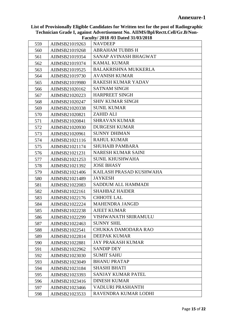|     |                | $\Gamma$ acuny $2010/00$ Datcu $01/00/2010$ |
|-----|----------------|---------------------------------------------|
| 559 | AIIMSB21019263 | <b>NAVDEEP</b>                              |
| 560 | AIIMSB21019268 | <b>ABRAHAM TUBBS H</b>                      |
| 561 | AIIMSB21019354 | SANAP AVINASH BHAGWAT                       |
| 562 | AIIMSB21019374 | <b>KAMAL KUMAR</b>                          |
| 563 | AIIMSB21019525 | <b>BALAKRISHNA MUKKERLA</b>                 |
| 564 | AIIMSB21019730 | <b>AVANISH KUMAR</b>                        |
| 565 | AIIMSB21019980 | <b>RAKESH KUMAR YADAV</b>                   |
| 566 | AIIMSB21020162 | <b>SATNAM SINGH</b>                         |
| 567 | AIIMSB21020223 | HARPREET SINGH                              |
| 568 | AIIMSB21020247 | <b>SHIV KUMAR SINGH</b>                     |
| 569 | AIIMSB21020338 | <b>SUNIL KUMAR</b>                          |
| 570 | AIIMSB21020821 | <b>ZAHID ALI</b>                            |
| 571 | AIIMSB21020841 | <b>SHRAVAN KUMAR</b>                        |
| 572 | AIIMSB21020930 | <b>DURGESH KUMAR</b>                        |
| 573 | AIIMSB21020961 | <b>SUNNY DHIMAN</b>                         |
| 574 | AIIMSB21021116 | <b>RAHUL KUMAR</b>                          |
| 575 | AIIMSB21021174 | <b>SHUHAIB PAMBARA</b>                      |
| 576 | AIIMSB21021231 | <b>NARESH KUMAR SAINI</b>                   |
| 577 | AIIMSB21021253 | <b>SUNIL KHUSHWAHA</b>                      |
| 578 | AIIMSB21021392 | <b>JOSE BHASY</b>                           |
| 579 | AIIMSB21021406 | KAILASH PRASAD KUSHWAHA                     |
| 580 | AIIMSB21021489 | <b>JAYKESH</b>                              |
| 581 | AIIMSB21022083 | SADDUM ALL HAMMADI                          |
| 582 | AIIMSB21022161 | <b>SHAHBAZ HAIDER</b>                       |
| 583 | AIIMSB21022176 | <b>CHHOTE LAL</b>                           |
| 584 | AIIMSB21022224 | <b>MAHENDRA JANGID</b>                      |
| 585 | AIIMSB21022238 | <b>AJEET KUMAR</b>                          |
| 586 | AIIMSB21022299 | VISHWANATH SRIRAMULU                        |
| 587 | AIIMSB21022463 | <b>SUNNY SHIL</b>                           |
| 588 | AIIMSB21022541 | CHUKKA DAMODARA RAO                         |
| 589 | AIIMSB21022814 | <b>DEEPAK KUMAR</b>                         |
| 590 | AIIMSB21022881 | <b>JAY PRAKASH KUMAR</b>                    |
| 591 | AIIMSB21022962 | <b>SANDIP DEY</b>                           |
| 592 | AIIMSB21023030 | <b>SUMIT SAHU</b>                           |
| 593 | AIIMSB21023049 | <b>BHANU PRATAP</b>                         |
| 594 | AIIMSB21023184 | <b>SHASHI BHATI</b>                         |
| 595 | AIIMSB21023393 | <b>SANJAY KUMAR PATEL</b>                   |
| 596 | AIIMSB21023416 | <b>DINESH KUMAR</b>                         |
| 597 | AIIMSB21023466 | VADLURI PRASHANTH                           |
| 598 | AIIMSB21023533 | RAVENDRA KUMAR LODHI                        |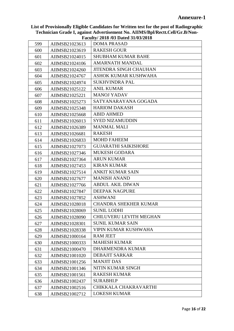|     |                | $\Gamma$ acuny/ 2010/03 Dated 31/03/2010 |
|-----|----------------|------------------------------------------|
| 599 | AIIMSB21023613 | <b>DOMA PRASAD</b>                       |
| 600 | AIIMSB21023619 | <b>RAKESH GOUR</b>                       |
| 601 | AIIMSB21024015 | <b>SHUBHAM KUMAR BAHE</b>                |
| 602 | AIIMSB21024106 | <b>AMARNATH MANDAL</b>                   |
| 603 | AIIMSB21024260 | <b>JITENDRA SINGH CHAUHAN</b>            |
| 604 | AIIMSB21024767 | ASHOK KUMAR KUSHWAHA                     |
| 605 | AIIMSB21024974 | <b>SUKHVINDRA PAL</b>                    |
| 606 | AIIMSB21025122 | <b>ANIL KUMAR</b>                        |
| 607 | AIIMSB21025221 | <b>MANOJ YADAV</b>                       |
| 608 | AIIMSB21025273 | SATYANARAYANA GOGADA                     |
| 609 | AIIMSB21025348 | <b>HARIOM DAKASH</b>                     |
| 610 | AIIMSB21025668 | <b>ABID AHMED</b>                        |
| 611 | AIIMSB21026013 | <b>SYED NIZAMUDDIN</b>                   |
| 612 | AIIMSB21026389 | <b>MANMAL MALI</b>                       |
| 613 | AIIMSB21026681 | <b>RAKESH</b>                            |
| 614 | AIIMSB21026833 | <b>MOHD FAHEEM</b>                       |
| 615 | AIIMSB21027073 | <b>GUJARATHI SAIKISHORE</b>              |
| 616 | AIIMSB21027346 | <b>MUKESH GODARA</b>                     |
| 617 | AIIMSB21027364 | <b>ARUN KUMAR</b>                        |
| 618 | AIIMSB21027453 | <b>KIRAN KUMAR</b>                       |
| 619 | AIIMSB21027514 | <b>ANKIT KUMAR SAIN</b>                  |
| 620 | AIIMSB21027677 | <b>MANISH ANAND</b>                      |
| 621 | AIIMSB21027766 | <b>ABDUL AKIL DIWAN</b>                  |
| 622 | AIIMSB21027847 | <b>DEEPAK NAGPURE</b>                    |
| 623 | AIIMSB21027852 | <b>ASHWANI</b>                           |
| 624 | AIIMSB21028018 | <b>CHANDRA SHEKHER KUMAR</b>             |
| 625 | AIIMSB21028069 | <b>SUNIL LODHI</b>                       |
| 626 | AIIMSB21028090 | CHILUVERU LEVITH MEGHAN                  |
| 627 | AIIMSB21028301 | <b>SUNIL KUMAR SAIN</b>                  |
| 628 | AIIMSB21028338 | VIPIN KUMAR KUSHWAHA                     |
| 629 | AIIMSB21000164 | <b>RAM JEET</b>                          |
| 630 | AIIMSB21000333 | <b>MAHESH KUMAR</b>                      |
| 631 | AIIMSB21000470 | DHARMENDRA KUMAR                         |
| 632 | AIIMSB21001020 | <b>DEBAJIT SARKAR</b>                    |
| 633 | AIIMSB21001256 | <b>MANJIT DAS</b>                        |
| 634 | AIIMSB21001346 | NITIN KUMAR SINGH                        |
| 635 | AIIMSB21001561 | <b>RAKESH KUMAR</b>                      |
| 636 | AIIMSB21002437 | SURABHI.P                                |
| 637 | AIIMSB21002516 | CHIKKALA CHAKRAVARTHI                    |
| 638 | AIIMSB21002712 | <b>LOKESH KUMAR</b>                      |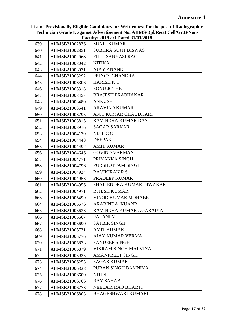|     |                | $1$ acan't $\frac{1}{2}$ and $\frac{1}{2}$ batch $\frac{1}{2}$ $\frac{1}{2}$ |
|-----|----------------|------------------------------------------------------------------------------|
| 639 | AIIMSB21002836 | <b>SUNIL KUMAR</b>                                                           |
| 640 | AIIMSB21002851 | <b>SUBHRA SUJIT BISWAS</b>                                                   |
| 641 | AIIMSB21002968 | PILLI SANYASI RAO                                                            |
| 642 | AIIMSB21003042 | <b>NITIKA</b>                                                                |
| 643 | AIIMSB21003071 | <b>AJAY ANAND</b>                                                            |
| 644 | AIIMSB21003292 | PRINCY CHANDRA                                                               |
| 645 | AIIMSB21003306 | <b>HARISH K T</b>                                                            |
| 646 | AIIMSB21003318 | <b>SONU JOTHE</b>                                                            |
| 647 | AIIMSB21003457 | <b>BRAJESH PRABHAKAR</b>                                                     |
| 648 | AIIMSB21003480 | <b>ANKUSH</b>                                                                |
| 649 | AIIMSB21003541 | <b>ARAVIND KUMAR</b>                                                         |
| 650 | AIIMSB21003795 | ANIT KUMAR CHAUDHARI                                                         |
| 651 | AIIMSB21003815 | RAVINDRA KUMAR DAS                                                           |
| 652 | AIIMSB21003916 | <b>SAGAR SARKAR</b>                                                          |
| 653 | AIIMSB21004179 | NIJIL C C                                                                    |
| 654 | AIIMSB21004448 | <b>DEEPAK</b>                                                                |
| 655 | AIIMSB21004492 | <b>AMIT KUMAR</b>                                                            |
| 656 | AIIMSB21004646 | <b>GOVIND VARMAN</b>                                                         |
| 657 | AIIMSB21004771 | PRIYANKA SINGH                                                               |
| 658 | AIIMSB21004796 | PURSHOTTAM SINGH                                                             |
| 659 | AIIMSB21004934 | <b>RAVIKIRAN R S</b>                                                         |
| 660 | AIIMSB21004953 | PRADEEP KUMAR                                                                |
| 661 | AIIMSB21004956 | SHAILENDRA KUMAR DIWAKAR                                                     |
| 662 | AIIMSB21004971 | <b>RITESH KUMAR</b>                                                          |
| 663 | AIIMSB21005499 | <b>VINOD KUMAR MOHABE</b>                                                    |
| 664 | AIIMSB21005576 | <b>ARABINDA KUANR</b>                                                        |
| 665 | AIIMSB21005633 | RAVINDRA KUMAR AGARAIYA                                                      |
| 666 | AIIMSB21005667 | PALANI M                                                                     |
| 667 | AIIMSB21005690 | <b>SATBIR SINGH</b>                                                          |
| 668 | AIIMSB21005731 | <b>AMIT KUMAR</b>                                                            |
| 669 | AIIMSB21005776 | <b>AJAY KUMAR VERMA</b>                                                      |
| 670 | AIIMSB21005873 | <b>SANDEEP SINGH</b>                                                         |
| 671 | AIIMSB21005879 | VIKRAM SINGH MALVIYA                                                         |
| 672 | AIIMSB21005925 | <b>AMANPREET SINGH</b>                                                       |
| 673 | AIIMSB21006253 | <b>SAGAR KUMAR</b>                                                           |
| 674 | AIIMSB21006338 | PURAN SINGH BAMNIYA                                                          |
| 675 | AIIMSB21006600 | <b>NITIN</b>                                                                 |
| 676 | AIIMSB21006766 | <b>RAY SAHAB</b>                                                             |
| 677 | AIIMSB21006773 | NEELAM RAO BHARTI                                                            |
| 678 | AIIMSB21006803 | <b>BHAGESHWARI KUMARI</b>                                                    |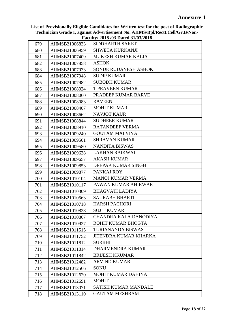|     |                | $\Gamma$ aculty/ 2010/03 Dated 31/03/2010 |
|-----|----------------|-------------------------------------------|
| 679 | AIIMSB21006833 | SIDDHARTH SAKET                           |
| 680 | AIIMSB21006959 | <b>SHWETA KURKANJI</b>                    |
| 681 | AIIMSB21007409 | <b>MUKESH KUMAR KALIA</b>                 |
| 682 | AIIMSB21007858 | <b>ASHOK</b>                              |
| 683 | AIIMSB21007933 | <b>SONDE RUDAYESH ASHOK</b>               |
| 684 | AIIMSB21007948 | <b>SUDIP KUMAR</b>                        |
| 685 | AIIMSB21007982 | <b>SUBODH KUMAR</b>                       |
| 686 | AIIMSB21008024 | <b>T PRAVEEN KUMAR</b>                    |
| 687 | AIIMSB21008060 | PRADEEP KUMAR BARVE                       |
| 688 | AIIMSB21008083 | <b>RAVEEN</b>                             |
| 689 | AIIMSB21008407 | <b>MOHIT KUMAR</b>                        |
| 690 | AIIMSB21008662 | <b>NAVJOT KAUR</b>                        |
| 691 | AIIMSB21008844 | <b>SUDHEER KUMAR</b>                      |
| 692 | AIIMSB21008910 | <b>RATANDEEP VERMA</b>                    |
| 693 | AIIMSB21009240 | <b>GOUTAM MALVIYA</b>                     |
| 694 | AIIMSB21009501 | <b>SHRAVAN KUMAR</b>                      |
| 695 | AIIMSB21009580 | <b>NANDITA BISWAS</b>                     |
| 696 | AIIMSB21009638 | <b>LAKHAN RAIKWAL</b>                     |
| 697 | AIIMSB21009657 | <b>AKASH KUMAR</b>                        |
| 698 | AIIMSB21009853 | DEEPAK KUMAR SINGH                        |
| 699 | AIIMSB21009877 | PANKAJ ROY                                |
| 700 | AIIMSB21010104 | <b>MANOJ KUMAR VERMA</b>                  |
| 701 | AIIMSB21010117 | PAWAN KUMAR AHIRWAR                       |
| 702 | AIIMSB21010309 | <b>BHAGVATI LADIYA</b>                    |
| 703 | AIIMSB21010563 | <b>SAURABH BHARTI</b>                     |
| 704 | AIIMSB21010718 | <b>HARSH PACHORI</b>                      |
| 705 | AIIMSB21010828 | <b>SUJIT KUMAR</b>                        |
| 706 | AIIMSB21010867 | CHANDRA KALA DANODIYA                     |
| 707 | AIIMSB21010927 | ROHIT KUMAR BHOGTA                        |
| 708 | AIIMSB21011515 | <b>TURIANANDA BISWAS</b>                  |
| 709 | AIIMSB21011752 | <b>JITENDRA KUMAR KHARKA</b>              |
| 710 | AIIMSB21011812 | <b>SURBHI</b>                             |
| 711 | AIIMSB21011814 | DHARMENDRA KUMAR                          |
| 712 | AIIMSB21011842 | <b>BRIJESH KKUMAR</b>                     |
| 713 | AIIMSB21012482 | <b>ARVIND KUMAR</b>                       |
| 714 | AIIMSB21012566 | <b>SONU</b>                               |
| 715 | AIIMSB21012620 | MOHIT KUMAR DAHIYA                        |
| 716 | AIIMSB21012691 | <b>MOHIT</b>                              |
| 717 | AIIMSB21013071 | <b>SATISH KUMAR MANDALE</b>               |
| 718 | AIIMSB21013110 | <b>GAUTAM MESHRAM</b>                     |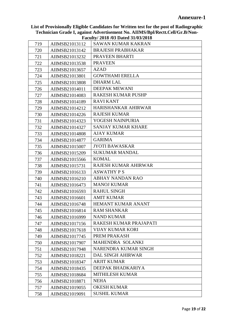|     |                | Paculty/2016/03 Dated 31/03/2016 |
|-----|----------------|----------------------------------|
| 719 | AIIMSB21013112 | <b>SAWAN KUMAR KAKRAN</b>        |
| 720 | AIIMSB21013142 | <b>BRAJESH PRABHAKAR</b>         |
| 721 | AIIMSB21013232 | PRAVEEN BHARTI                   |
| 722 | AIIMSB21013538 | <b>PRAVEEN</b>                   |
| 723 | AIIMSB21013657 | <b>AZAD</b>                      |
| 724 | AIIMSB21013801 | <b>GOWTHAMI ERELLA</b>           |
| 725 | AIIMSB21013808 | <b>DHARM LAL</b>                 |
| 726 | AIIMSB21014011 | <b>DEEPAK MEWANI</b>             |
| 727 | AIIMSB21014083 | <b>RAKESH KUMAR PUSHP</b>        |
| 728 | AIIMSB21014189 | <b>RAVI KANT</b>                 |
| 729 | AIIMSB21014212 | <b>HARISHANKAR AHIRWAR</b>       |
| 730 | AIIMSB21014226 | <b>RAJESH KUMAR</b>              |
| 731 | AIIMSB21014323 | YOGESH NAINPURIA                 |
| 732 | AIIMSB21014327 | <b>SANJAY KUMAR KHARE</b>        |
| 733 | AIIMSB21014808 | <b>AJAY KUMAR</b>                |
| 734 | AIIMSB21014877 | <b>GARIMA</b>                    |
| 735 | AIIMSB21015007 | <b>JYOTI BAWASKAR</b>            |
| 736 | AIIMSB21015209 | <b>SUKUMAR MANDAL</b>            |
| 737 | AIIMSB21015566 | <b>KOMAL</b>                     |
| 738 | AIIMSB21015731 | RAJESH KUMAR AHIRWAR             |
| 739 | AIIMSB21016133 | <b>ASWATHY PS</b>                |
| 740 | AIIMSB21016210 | <b>ABHAY NANDAN RAO</b>          |
| 741 | AIIMSB21016473 | <b>MANOJ KUMAR</b>               |
| 742 | AIIMSB21016593 | <b>RAHUL SINGH</b>               |
| 743 | AIIMSB21016601 | <b>AMIT KUMAR</b>                |
| 744 | AIIMSB21016748 | <b>HEMANT KUMAR ANANT</b>        |
| 745 | AIIMSB21016814 | <b>RAM SHANKAR</b>               |
| 746 | AIIMSB21016999 | <b>NAND KUMAR</b>                |
| 747 | AIIMSB21017156 | RAKESH KUMAR PRAJAPATI           |
| 748 | AIIMSB21017618 | <b>VIJAY KUMAR KORI</b>          |
| 749 | AIIMSB21017745 | PREM PRAKASH                     |
| 750 | AIIMSB21017907 | MAHENDRA SOLANKI                 |
| 751 | AIIMSB21017948 | NARENDRA KUMAR SINGH             |
| 752 | AIIMSB21018221 | <b>DAL SINGH AHIRWAR</b>         |
| 753 | AIIMSB21018347 | <b>ARJIT KUMAR</b>               |
| 754 | AIIMSB21018435 | DEEPAK BHADKARIYA                |
| 755 | AIIMSB21018684 | <b>MITHILESH KUMAR</b>           |
| 756 | AIIMSB21018871 | <b>NEHA</b>                      |
| 757 | AIIMSB21019055 | <b>OKESH KUMAR</b>               |
| 758 | AIIMSB21019091 | <b>SUSHIL KUMAR</b>              |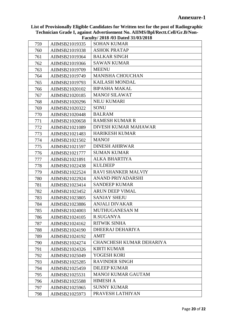| 759 | AIIMSB21019335 | <b>SOHAN KUMAR</b>         |
|-----|----------------|----------------------------|
| 760 | AIIMSB21019338 | <b>ASHOK PRATAP</b>        |
| 761 | AIIMSB21019364 | <b>BALKAR SINGH</b>        |
| 762 | AIIMSB21019366 | <b>SAWAN KUMAR</b>         |
| 763 | AIIMSB21019709 | <b>MEENU</b>               |
| 764 | AIIMSB21019749 | <b>MANISHA CHOUCHAN</b>    |
| 765 | AIIMSB21019793 | <b>KAILASH MONDAL</b>      |
| 766 | AIIMSB21020102 | <b>BIPASHA MAKAL</b>       |
| 767 | AIIMSB21020185 | <b>MANOJ SILAWAT</b>       |
| 768 | AIIMSB21020296 | <b>NILU KUMARI</b>         |
| 769 | AIIMSB21020322 | SONU                       |
| 770 | AIIMSB21020448 | <b>BALRAM</b>              |
| 771 | AIIMSB21020658 | <b>RAMESH KUMAR R</b>      |
| 772 | AIIMSB21021089 | DIVESH KUMAR MAHAWAR       |
| 773 | AIIMSB21021483 | <b>HARIKESH KUMAR</b>      |
| 774 | AIIMSB21021502 | <b>MANOJ</b>               |
| 775 | AIIMSB21021597 | <b>DINESH AHIRWAR</b>      |
| 776 | AIIMSB21021777 | <b>SUMAN KUMAR</b>         |
| 777 | AIIMSB21021891 | <b>ALKA BHARTIYA</b>       |
| 778 | AIIMSB21022438 | <b>KULDEEP</b>             |
| 779 | AIIMSB21022524 | <b>RAVI SHANKER MALVIY</b> |
| 780 | AIIMSB21022924 | ANAND PRIYADARSHI          |
| 781 | AIIMSB21023414 | <b>SANDEEP KUMAR</b>       |
| 782 | AIIMSB21023452 | <b>ARUN DEEP VIMAL</b>     |
| 783 | AIIMSB21023805 | <b>SANJAY SHEJU</b>        |
| 784 | AIIMSB21023886 | <b>ANJALI DIVAKAR</b>      |
| 785 | AIIMSB21024003 | <b>MUTHUGANESAN M</b>      |
| 786 | AIIMSB21024105 | R.SUGANYA                  |
| 787 | AIIMSB21024162 | <b>RITWIK SINHA</b>        |
| 788 | AIIMSB21024190 | DHEERAJ DEHARIYA           |
| 789 | AIIMSB21024192 | <b>AMIT</b>                |
| 790 | AIIMSB21024274 | CHANCHESH KUMAR DEHARIYA   |
| 791 | AIIMSB21024326 | <b>KIRTI KUMAR</b>         |
| 792 | AIIMSB21025049 | YOGESH KORI                |
| 793 | AIIMSB21025285 | <b>RAVINDER SINGH</b>      |
| 794 | AIIMSB21025459 | <b>DILEEP KUMAR</b>        |
| 795 | AIIMSB21025531 | <b>MANOJ KUMAR GAUTAM</b>  |
| 796 | AIIMSB21025588 | <b>HIMESH A</b>            |
| 797 | AIIMSB21025965 | <b>SUNNY KUMAR</b>         |
| 798 | AIIMSB21025973 | PRAVESH LATHIYAN           |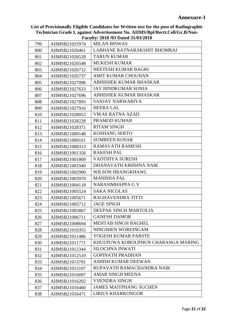|     |                | $\Gamma$ acuny/ 2010/03 Dated 31/03/2010 |
|-----|----------------|------------------------------------------|
| 799 | AIIMSB21025974 | <b>MILAN BISWAS</b>                      |
| 800 | AIIMSB21026461 | LABHANE RATNARAKSHIT BHOMRAJ             |
| 801 | AIIMSB21026528 | <b>TARUN KUMAR</b>                       |
| 802 | AIIMSB21026548 | <b>MUKESH KUMAR</b>                      |
| 803 | AIIMSB21026712 | NEETESH KUMAR BAGRI                      |
| 804 | AIIMSB21026737 | <b>AMIT KUMAR CHOUHAN</b>                |
| 805 | AIIMSB21027096 | ABHISHEK KUMAR BHASKAR                   |
| 806 | AIIMSB21027633 | <b>JAY BINDKUMAR SONIA</b>               |
| 807 | AIIMSB21027696 | ABHISHEK KUMAR BHASKAR                   |
| 808 | AIIMSB21027895 | SANJAY NARWARIYA                         |
| 809 | AIIMSB21027916 | <b>HEERA LAL</b>                         |
| 810 | AIIMSB21028053 | <b>VIKAS RATNA AZAD</b>                  |
| 811 | AIIMSB21028228 | PRAMOD KUMAR                             |
| 812 | AIIMSB21028371 | <b>RITAM SINGH</b>                       |
| 813 | AIIMSB21000148 | <b>KOSHANG SERTO</b>                     |
| 814 | AIIMSB21000161 | <b>SUMREEN KOSAR</b>                     |
| 815 | AIIMSB21000313 | <b>RAMAVATH RAMESH</b>                   |
| 816 | AIIMSB21001356 | <b>RAKESH PAL</b>                        |
| 817 | AIIMSB21001869 | VADTHIYA SURESH                          |
| 818 | AIIMSB21001949 | DHANAVATH KRISHNA NAIK                   |
| 819 | AIIMSB21002900 | <b>WILSON HRANGKHAWL</b>                 |
| 820 | AIIMSB21003970 | <b>MANISHA PAL</b>                       |
| 821 | AIIMSB21004118 | <b>NARASIMHAPPA G V</b>                  |
| 822 | AIIMSB21005524 | <b>SAKA NICOLAS</b>                      |
| 823 | AIIMSB21005671 | RAGHAVENDRA TITTI                        |
| 824 | AIIMSB21005712 | <b>JAGE SINGH</b>                        |
| 825 | AIIMSB21005867 | DEEPAK SINGH MARTOLIA                    |
| 826 | AIIMSB21006711 | <b>GANESH DAMOR</b>                      |
| 827 | AIIMSB21008694 | <b>MEHTAB SINGH BAGHEL</b>               |
| 828 | AIIMSB21010355 | NINGSHEN WOREINGAM                       |
| 829 | AIIMSB21011486 | YOGESH KUMAR PARSTE                      |
| 830 | AIIMSB21011771 | KHULPUWA KOROUPHUN CHARANGA MARING       |
| 831 | AIIMSB21012344 | <b>SILOCHNA INWATI</b>                   |
| 832 | AIIMSB21012510 | <b>GOPINATH PRADHAN</b>                  |
| 833 | AIIMSB21013791 | <b>ASHISH KUMAR DEEWAN</b>               |
| 834 | AIIMSB21015107 | RUPAVATH RAMACHANDRA NAIK                |
| 835 | AIIMSB21016097 | <b>AMAR SINGH MEENA</b>                  |
| 836 | AIIMSB21016202 | <b>VIJENDRA SINGH</b>                    |
| 837 | AIIMSB21016460 | <b>JAMES MAITPHANG SUCHEN</b>            |
| 838 | AIIMSB21016471 | <b>LIRIUS KHARKONGOR</b>                 |